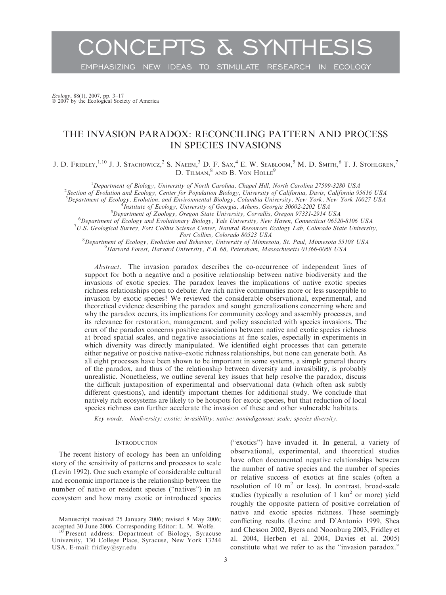# CONCEPTS & SYNTHESIS

EMPHASIZING NEW IDEAS TO STIMULATE RESEARCH IN ECOLOGY

 $Ecology, 88(1), 2007, pp. 3-17$  $\odot$  2007 by the Ecological Society of America

# THE INVASION PARADOX: RECONCILING PATTERN AND PROCESS IN SPECIES INVASIONS

J. D. Fridley,<sup>1,10</sup> J. J. Stachowicz,<sup>2</sup> S. Naeem,<sup>3</sup> D. F. Sax,<sup>4</sup> E. W. Seabloom,<sup>5</sup> M. D. Smith,<sup>6</sup> T. J. Stohlgren,<sup>7</sup> D. TILMAN,<sup>8</sup> AND B. VON HOLLE<sup>9</sup>

<sup>1</sup>Department of Biology, University of North Carolina, Chapel Hill, North Carolina 27599-3280 USA<br><sup>2</sup>Section of Evolution and Ecology, Cantar for Population Biology, University of California, Davis, California 0

<sup>2</sup> Section of Evolution and Ecology, Center for Population Biology, University of California, Davis, California 95616 USA

<sup>3</sup>Department of Ecology, Evolution, and Environmental Biology, Columbia University, New York, New York 10027 USA<br><sup>4</sup> Hastitute of Ecology, University of Georgia, Athens, Georgia 30602, 2002 USA Institute of Ecology, University of Georgia, Athens, Georgia 30602-2202 USA

 $^5$ Department of Zoology, Oregon State University, Corvallis, Oregon 97331-2914 USA

<sup>6</sup>Department of Ecology and Evolutionary Biology, Yale University, New Haven, Connecticut 06520-8106 USA

<sup>7</sup>U.S. Geological Survey, Fort Collins Science Center, Natural Resources Ecology Lab, Colorado State University,<br>Fort Collins, Colorado 80523 USA Fort Collins, Colorado 80523 USA<br><sup>8</sup> Department of Ecology, Evolution and Bohavior, University of Minnes

Department of Ecology, Evolution and Behavior, University of Minnesota, St. Paul, Minnesota 55108 USA<br><sup>9</sup> Harvard Essest, Harvard University, P.B. 68, Petersham, Massachusetts 01366 0068 USA  $^{9}$ Harvard Forest, Harvard University, P.B. 68, Petersham, Massachusetts 01366-0068 USA

Abstract. The invasion paradox describes the co-occurrence of independent lines of support for both a negative and a positive relationship between native biodiversity and the invasions of exotic species. The paradox leaves the implications of native–exotic species richness relationships open to debate: Are rich native communities more or less susceptible to invasion by exotic species? We reviewed the considerable observational, experimental, and theoretical evidence describing the paradox and sought generalizations concerning where and why the paradox occurs, its implications for community ecology and assembly processes, and its relevance for restoration, management, and policy associated with species invasions. The crux of the paradox concerns positive associations between native and exotic species richness at broad spatial scales, and negative associations at fine scales, especially in experiments in which diversity was directly manipulated. We identified eight processes that can generate either negative or positive native–exotic richness relationships, but none can generate both. As all eight processes have been shown to be important in some systems, a simple general theory of the paradox, and thus of the relationship between diversity and invasibility, is probably unrealistic. Nonetheless, we outline several key issues that help resolve the paradox, discuss the difficult juxtaposition of experimental and observational data (which often ask subtly different questions), and identify important themes for additional study. We conclude that natively rich ecosystems are likely to be hotspots for exotic species, but that reduction of local species richness can further accelerate the invasion of these and other vulnerable habitats.

Key words: biodiversity; exotic; invasibility; native; nonindigenous; scale; species diversity.

#### **INTRODUCTION**

The recent history of ecology has been an unfolding story of the sensitivity of patterns and processes to scale (Levin 1992). One such example of considerable cultural and economic importance is the relationship between the number of native or resident species ("natives") in an ecosystem and how many exotic or introduced species (''exotics'') have invaded it. In general, a variety of observational, experimental, and theoretical studies have often documented negative relationships between the number of native species and the number of species or relative success of exotics at fine scales (often a resolution of 10  $m<sup>2</sup>$  or less). In contrast, broad-scale studies (typically a resolution of  $1 \text{ km}^2$  or more) yield roughly the opposite pattern of positive correlation of native and exotic species richness. These seemingly conflicting results (Levine and D'Antonio 1999, Shea and Chesson 2002, Byers and Noonburg 2003, Fridley et al. 2004, Herben et al. 2004, Davies et al. 2005) constitute what we refer to as the ''invasion paradox.''

Manuscript received 25 January 2006; revised 8 May 2006; accepted 30 June 2006. Corresponding Editor: L. M. Wolfe.

<sup>&</sup>lt;sup>10</sup> Present address: Department of Biology, Syracuse University, 130 College Place, Syracuse, New York 13244 USA. E-mail: fridley@syr.edu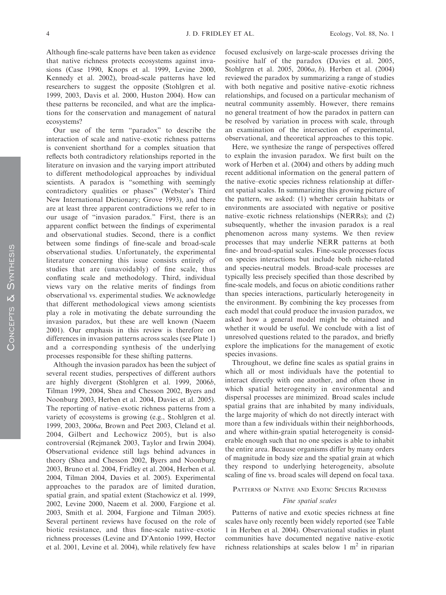Although fine-scale patterns have been taken as evidence that native richness protects ecosystems against invasions (Case 1990, Knops et al. 1999, Levine 2000, Kennedy et al. 2002), broad-scale patterns have led researchers to suggest the opposite (Stohlgren et al. 1999, 2003, Davis et al. 2000, Huston 2004). How can these patterns be reconciled, and what are the implications for the conservation and management of natural ecosystems?

Our use of the term ''paradox'' to describe the interaction of scale and native–exotic richness patterns is convenient shorthand for a complex situation that reflects both contradictory relationships reported in the literature on invasion and the varying import attributed to different methodological approaches by individual scientists. A paradox is "something with seemingly contradictory qualities or phases'' (Webster's Third New International Dictionary; Grove 1993), and there are at least three apparent contradictions we refer to in our usage of ''invasion paradox.'' First, there is an apparent conflict between the findings of experimental and observational studies. Second, there is a conflict between some findings of fine-scale and broad-scale observational studies. Unfortunately, the experimental literature concerning this issue consists entirely of studies that are (unavoidably) of fine scale, thus conflating scale and methodology. Third, individual views vary on the relative merits of findings from observational vs. experimental studies. We acknowledge that different methodological views among scientists play a role in motivating the debate surrounding the invasion paradox, but these are well known (Naeem 2001). Our emphasis in this review is therefore on differences in invasion patterns across scales (see Plate 1) and a corresponding synthesis of the underlying processes responsible for these shifting patterns.

Although the invasion paradox has been the subject of several recent studies, perspectives of different authors are highly divergent (Stohlgren et al. 1999, 2006b, Tilman 1999, 2004, Shea and Chesson 2002, Byers and Noonburg 2003, Herben et al. 2004, Davies et al. 2005). The reporting of native–exotic richness patterns from a variety of ecosystems is growing (e.g., Stohlgren et al. 1999, 2003, 2006a, Brown and Peet 2003, Cleland et al. 2004, Gilbert and Lechowicz 2005), but is also controversial (Rejmanek 2003, Taylor and Irwin 2004). Observational evidence still lags behind advances in theory (Shea and Chesson 2002, Byers and Noonburg 2003, Bruno et al. 2004, Fridley et al. 2004, Herben et al. 2004, Tilman 2004, Davies et al. 2005). Experimental approaches to the paradox are of limited duration, spatial grain, and spatial extent (Stachowicz et al. 1999, 2002, Levine 2000, Naeem et al. 2000, Fargione et al. 2003, Smith et al. 2004, Fargione and Tilman 2005). Several pertinent reviews have focused on the role of biotic resistance, and thus fine-scale native–exotic richness processes (Levine and D'Antonio 1999, Hector et al. 2001, Levine et al. 2004), while relatively few have focused exclusively on large-scale processes driving the positive half of the paradox (Davies et al. 2005, Stohlgren et al. 2005, 2006a, b). Herben et al. (2004) reviewed the paradox by summarizing a range of studies with both negative and positive native–exotic richness relationships, and focused on a particular mechanism of neutral community assembly. However, there remains no general treatment of how the paradox in pattern can be resolved by variation in process with scale, through an examination of the intersection of experimental, observational, and theoretical approaches to this topic.

Here, we synthesize the range of perspectives offered to explain the invasion paradox. We first built on the work of Herben et al. (2004) and others by adding much recent additional information on the general pattern of the native–exotic species richness relationship at different spatial scales. In summarizing this growing picture of the pattern, we asked: (1) whether certain habitats or environments are associated with negative or positive native–exotic richness relationships (NERRs); and (2) subsequently, whether the invasion paradox is a real phenomenon across many systems. We then review processes that may underlie NERR patterns at both fine- and broad-spatial scales. Fine-scale processes focus on species interactions but include both niche-related and species-neutral models. Broad-scale processes are typically less precisely specified than those described by fine-scale models, and focus on abiotic conditions rather than species interactions, particularly heterogeneity in the environment. By combining the key processes from each model that could produce the invasion paradox, we asked how a general model might be obtained and whether it would be useful. We conclude with a list of unresolved questions related to the paradox, and briefly explore the implications for the management of exotic species invasions.

Throughout, we define fine scales as spatial grains in which all or most individuals have the potential to interact directly with one another, and often those in which spatial heterogeneity in environmental and dispersal processes are minimized. Broad scales include spatial grains that are inhabited by many individuals, the large majority of which do not directly interact with more than a few individuals within their neighborhoods, and where within-grain spatial heterogeneity is considerable enough such that no one species is able to inhabit the entire area. Because organisms differ by many orders of magnitude in body size and the spatial grain at which they respond to underlying heterogeneity, absolute scaling of fine vs. broad scales will depend on focal taxa.

#### PATTERNS OF NATIVE AND EXOTIC SPECIES RICHNESS

#### Fine spatial scales

Patterns of native and exotic species richness at fine scales have only recently been widely reported (see Table 1 in Herben et al. 2004). Observational studies in plant communities have documented negative native–exotic richness relationships at scales below 1  $m<sup>2</sup>$  in riparian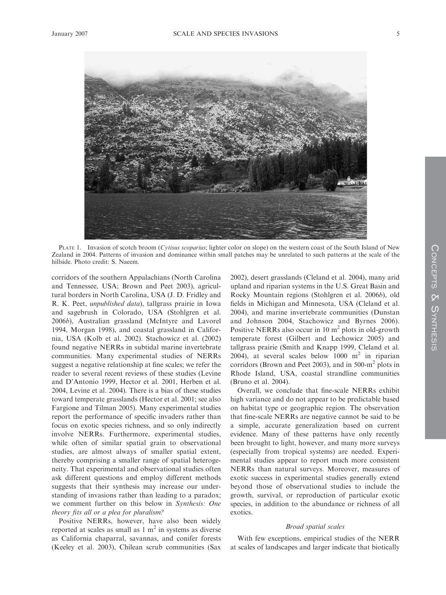

PLATE 1. Invasion of scotch broom (Cytisus scoparius; lighter color on slope) on the western coast of the South Island of New Zealand in 2004. Patterns of invasion and dominance within small patches may be unrelated to such patterns at the scale of the hillside. Photo credit: S. Naeem.

corridors of the southern Appalachians (North Carolina and Tennessee, USA; Brown and Peet 2003), agricultural borders in North Carolina, USA (J. D. Fridley and R. K. Peet, unpublished data), tallgrass prairie in Iowa and sagebrush in Colorado, USA (Stohlgren et al. 2006b), Australian grassland (McIntyre and Lavorel 1994, Morgan 1998), and coastal grassland in California, USA (Kolb et al. 2002). Stachowicz et al. (2002) found negative NERRs in subtidal marine invertebrate communities. Many experimental studies of NERRs suggest a negative relationship at fine scales; we refer the reader to several recent reviews of these studies (Levine and D'Antonio 1999, Hector et al. 2001, Herben et al. 2004, Levine et al. 2004). There is a bias of these studies toward temperate grasslands (Hector et al. 2001; see also Fargione and Tilman 2005). Many experimental studies report the performance of specific invaders rather than focus on exotic species richness, and so only indirectly involve NERRs. Furthermore, experimental studies, while often of similar spatial grain to observational studies, are almost always of smaller spatial extent, thereby comprising a smaller range of spatial heterogeneity. That experimental and observational studies often ask different questions and employ different methods suggests that their synthesis may increase our understanding of invasions rather than leading to a paradox; we comment further on this below in Synthesis: One theory fits all or a plea for pluralism?

Positive NERRs, however, have also been widely reported at scales as small as  $1 \text{ m}^2$  in systems as diverse as California chaparral, savannas, and conifer forests (Keeley et al. 2003), Chilean scrub communities (Sax 2002), desert grasslands (Cleland et al. 2004), many arid upland and riparian systems in the U.S. Great Basin and Rocky Mountain regions (Stohlgren et al. 2006b), old fields in Michigan and Minnesota, USA (Cleland et al. 2004), and marine invertebrate communities (Dunstan and Johnson 2004, Stachowicz and Byrnes 2006). Positive NERRs also occur in 10 m<sup>2</sup> plots in old-growth temperate forest (Gilbert and Lechowicz 2005) and tallgrass prairie (Smith and Knapp 1999, Cleland et al. 2004), at several scales below 1000  $m<sup>2</sup>$  in riparian corridors (Brown and Peet 2003), and in 500-m<sup>2</sup> plots in Rhode Island, USA, coastal strandline communities (Bruno et al. 2004).

Overall, we conclude that fine-scale NERRs exhibit high variance and do not appear to be predictable based on habitat type or geographic region. The observation that fine-scale NERRs are negative cannot be said to be a simple, accurate generalization based on current evidence. Many of these patterns have only recently been brought to light, however, and many more surveys (especially from tropical systems) are needed. Experimental studies appear to report much more consistent NERRs than natural surveys. Moreover, measures of exotic success in experimental studies generally extend beyond those of observational studies to include the growth, survival, or reproduction of particular exotic species, in addition to the abundance or richness of all exotics.

#### Broad spatial scales

With few exceptions, empirical studies of the NERR at scales of landscapes and larger indicate that biotically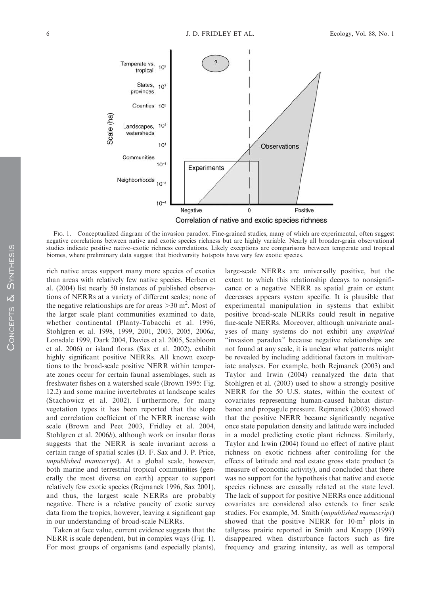

FIG. 1. Conceptualized diagram of the invasion paradox. Fine-grained studies, many of which are experimental, often suggest negative correlations between native and exotic species richness but are highly variable. Nearly all broader-grain observational studies indicate positive native–exotic richness correlations. Likely exceptions are comparisons between temperate and tropical biomes, where preliminary data suggest that biodiversity hotspots have very few exotic species.

rich native areas support many more species of exotics than areas with relatively few native species. Herben et al. (2004) list nearly 50 instances of published observations of NERRs at a variety of different scales; none of the negative relationships are for areas  $>$  30 m<sup>2</sup>. Most of the larger scale plant communities examined to date, whether continental (Planty-Tabacchi et al. 1996, Stohlgren et al. 1998, 1999, 2001, 2003, 2005, 2006a, Lonsdale 1999, Dark 2004, Davies et al. 2005, Seabloom et al. 2006) or island floras (Sax et al. 2002), exhibit highly significant positive NERRs. All known exceptions to the broad-scale positive NERR within temperate zones occur for certain faunal assemblages, such as freshwater fishes on a watershed scale (Brown 1995: Fig. 12.2) and some marine invertebrates at landscape scales (Stachowicz et al. 2002). Furthermore, for many vegetation types it has been reported that the slope and correlation coefficient of the NERR increase with scale (Brown and Peet 2003, Fridley et al. 2004, Stohlgren et al. 2006b), although work on insular floras suggests that the NERR is scale invariant across a certain range of spatial scales (D. F. Sax and J. P. Price, unpublished manuscript). At a global scale, however, both marine and terrestrial tropical communities (generally the most diverse on earth) appear to support relatively few exotic species (Rejmanek 1996, Sax 2001), and thus, the largest scale NERRs are probably negative. There is a relative paucity of exotic survey data from the tropics, however, leaving a significant gap in our understanding of broad-scale NERRs.

Taken at face value, current evidence suggests that the NERR is scale dependent, but in complex ways (Fig. 1). For most groups of organisms (and especially plants), large-scale NERRs are universally positive, but the extent to which this relationship decays to nonsignificance or a negative NERR as spatial grain or extent decreases appears system specific. It is plausible that experimental manipulation in systems that exhibit positive broad-scale NERRs could result in negative fine-scale NERRs. Moreover, although univariate analyses of many systems do not exhibit any empirical "invasion paradox" because negative relationships are not found at any scale, it is unclear what patterns might be revealed by including additional factors in multivariate analyses. For example, both Rejmanek (2003) and Taylor and Irwin (2004) reanalyzed the data that Stohlgren et al. (2003) used to show a strongly positive NERR for the 50 U.S. states, within the context of covariates representing human-caused habitat disturbance and propagule pressure. Rejmanek (2003) showed that the positive NERR became significantly negative once state population density and latitude were included in a model predicting exotic plant richness. Similarly, Taylor and Irwin (2004) found no effect of native plant richness on exotic richness after controlling for the effects of latitude and real estate gross state product (a measure of economic activity), and concluded that there was no support for the hypothesis that native and exotic species richness are causally related at the state level. The lack of support for positive NERRs once additional covariates are considered also extends to finer scale studies. For example, M. Smith (unpublished manuscript) showed that the positive NERR for  $10\text{-m}^2$  plots in tallgrass prairie reported in Smith and Knapp (1999) disappeared when disturbance factors such as fire frequency and grazing intensity, as well as temporal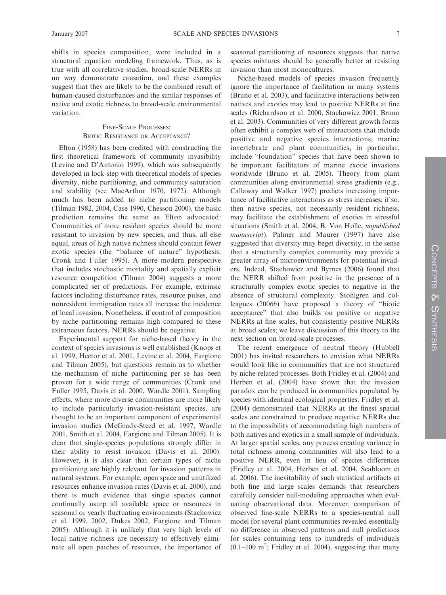shifts in species composition, were included in a structural equation modeling framework. Thus, as is true with all correlative studies, broad-scale NERRs in no way demonstrate causation, and these examples suggest that they are likely to be the combined result of human-caused disturbances and the similar responses of native and exotic richness to broad-scale environmental variation.

#### FINE-SCALE PROCESSES: BIOTIC RESISTANCE OR ACCEPTANCE?

Elton (1958) has been credited with constructing the first theoretical framework of community invasibility (Levine and D'Antonio 1999), which was subsequently developed in lock-step with theoretical models of species diversity, niche partitioning, and community saturation and stability (see MacArthur 1970, 1972). Although much has been added to niche partitioning models (Tilman 1982, 2004, Case 1990, Chesson 2000), the basic prediction remains the same as Elton advocated: Communities of more resident species should be more resistant to invasion by new species, and thus, all else equal, areas of high native richness should contain fewer exotic species (the ''balance of nature'' hypothesis; Cronk and Fuller 1995). A more modern perspective that includes stochastic mortality and spatially explicit resource competition (Tilman 2004) suggests a more complicated set of predictions. For example, extrinsic factors including disturbance rates, resource pulses, and nonresident immigration rates all increase the incidence of local invasion. Nonetheless, if control of composition by niche partitioning remains high compared to these extraneous factors, NERRs should be negative.

Experimental support for niche-based theory in the context of species invasions is well established (Knops et al. 1999, Hector et al. 2001, Levine et al. 2004, Fargione and Tilman 2005), but questions remain as to whether the mechanism of niche partitioning per se has been proven for a wide range of communities (Cronk and Fuller 1995, Davis et al. 2000, Wardle 2001). Sampling effects, where more diverse communities are more likely to include particularly invasion-resistant species, are thought to be an important component of experimental invasion studies (McGrady-Steed et al. 1997, Wardle 2001, Smith et al. 2004, Fargione and Tilman 2005). It is clear that single-species populations strongly differ in their ability to resist invasion (Davis et al. 2000). However, it is also clear that certain types of niche partitioning are highly relevant for invasion patterns in natural systems. For example, open space and unutilized resources enhance invasion rates (Davis et al. 2000), and there is much evidence that single species cannot continually usurp all available space or resources in seasonal or yearly fluctuating environments (Stachowicz et al. 1999, 2002, Dukes 2002, Fargione and Tilman 2005). Although it is unlikely that very high levels of local native richness are necessary to effectively eliminate all open patches of resources, the importance of seasonal partitioning of resources suggests that native species mixtures should be generally better at resisting invasion than most monocultures.

Niche-based models of species invasion frequently ignore the importance of facilitation in many systems (Bruno et al. 2003), and facilitative interactions between natives and exotics may lead to positive NERRs at fine scales (Richardson et al. 2000, Stachowicz 2001, Bruno et al. 2003). Communities of very different growth forms often exhibit a complex web of interactions that include positive and negative species interactions; marine invertebrate and plant communities, in particular, include ''foundation'' species that have been shown to be important facilitators of marine exotic invasions worldwide (Bruno et al. 2005). Theory from plant communities along environmental stress gradients (e.g., Callaway and Walker 1997) predicts increasing importance of facilitative interactions as stress increases; if so, then native species, not necessarily resident richness, may facilitate the establishment of exotics in stressful situations (Smith et al. 2004; B. Von Holle, unpublished manuscript). Palmer and Maurer (1997) have also suggested that diversity may beget diversity, in the sense that a structurally complex community may provide a greater array of microenvironments for potential invaders. Indeed, Stachowicz and Byrnes (2006) found that the NERR shifted from positive in the presence of a structurally complex exotic species to negative in the absence of structural complexity. Stohlgren and colleagues (2006b) have proposed a theory of ''biotic acceptance'' that also builds on positive or negative NERRs at fine scales, but consistently positive NERRs at broad scales; we leave discussion of this theory to the next section on broad-scale processes.

The recent emergence of neutral theory (Hubbell 2001) has invited researchers to envision what NERRs would look like in communities that are not structured by niche-related processes. Both Fridley et al. (2004) and Herben et al. (2004) have shown that the invasion paradox can be produced in communities populated by species with identical ecological properties. Fridley et al. (2004) demonstrated that NERRs at the finest spatial scales are constrained to produce negative NERRs due to the impossibility of accommodating high numbers of both natives and exotics in a small sample of individuals. At larger spatial scales, any process creating variance in total richness among communities will also lead to a positive NERR, even in lieu of species differences (Fridley et al. 2004, Herben et al. 2004, Seabloom et al. 2006). The inevitability of such statistical artifacts at both fine and large scales demands that researchers carefully consider null-modeling approaches when evaluating observational data. Moreover, comparison of observed fine-scale NERRs to a species-neutral null model for several plant communities revealed essentially no difference in observed patterns and null predictions for scales containing tens to hundreds of individuals  $(0.1-100 \text{ m}^2)$ ; Fridley et al. 2004), suggesting that many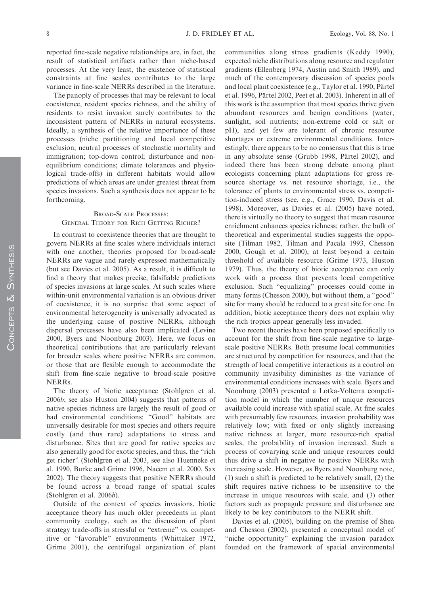reported fine-scale negative relationships are, in fact, the result of statistical artifacts rather than niche-based processes. At the very least, the existence of statistical constraints at fine scales contributes to the large variance in fine-scale NERRs described in the literature.

The panoply of processes that may be relevant to local coexistence, resident species richness, and the ability of residents to resist invasion surely contributes to the inconsistent pattern of NERRs in natural ecosystems. Ideally, a synthesis of the relative importance of these processes (niche partitioning and local competitive exclusion; neutral processes of stochastic mortality and immigration; top-down control; disturbance and nonequilibrium conditions; climate tolerances and physiological trade-offs) in different habitats would allow predictions of which areas are under greatest threat from species invasions. Such a synthesis does not appear to be forthcoming.

## BROAD-SCALE PROCESSES: GENERAL THEORY FOR RICH GETTING RICHER?

In contrast to coexistence theories that are thought to govern NERRs at fine scales where individuals interact with one another, theories proposed for broad-scale NERRs are vague and rarely expressed mathematically (but see Davies et al. 2005). As a result, it is difficult to find a theory that makes precise, falsifiable predictions of species invasions at large scales. At such scales where within-unit environmental variation is an obvious driver of coexistence, it is no surprise that some aspect of environmental heterogeneity is universally advocated as the underlying cause of positive NERRs, although dispersal processes have also been implicated (Levine 2000, Byers and Noonburg 2003). Here, we focus on theoretical contributions that are particularly relevant for broader scales where positive NERRs are common, or those that are flexible enough to accommodate the shift from fine-scale negative to broad-scale positive NERRs.

The theory of biotic acceptance (Stohlgren et al. 2006b; see also Huston 2004) suggests that patterns of native species richness are largely the result of good or bad environmental conditions: ''Good'' habitats are universally desirable for most species and others require costly (and thus rare) adaptations to stress and disturbance. Sites that are good for native species are also generally good for exotic species, and thus, the ''rich get richer'' (Stohlgren et al. 2003, see also Huenneke et al. 1990, Burke and Grime 1996, Naeem et al. 2000, Sax 2002). The theory suggests that positive NERRs should be found across a broad range of spatial scales (Stohlgren et al. 2006b).

Outside of the context of species invasions, biotic acceptance theory has much older precedents in plant community ecology, such as the discussion of plant strategy trade-offs in stressful or ''extreme'' vs. competitive or ''favorable'' environments (Whittaker 1972, Grime 2001), the centrifugal organization of plant

communities along stress gradients (Keddy 1990), expected niche distributions along resource and regulator gradients (Ellenberg 1974, Austin and Smith 1989), and much of the contemporary discussion of species pools and local plant coexistence (e.g., Taylor et al. 1990, Pärtel et al. 1996, Pärtel 2002, Peet et al. 2003). Inherent in all of this work is the assumption that most species thrive given abundant resources and benign conditions (water, sunlight, soil nutrients; non-extreme cold or salt or pH), and yet few are tolerant of chronic resource shortages or extreme environmental conditions. Interestingly, there appears to be no consensus that this is true in any absolute sense (Grubb 1998, Pärtel 2002), and indeed there has been strong debate among plant ecologists concerning plant adaptations for gross resource shortage vs. net resource shortage, i.e., the tolerance of plants to environmental stress vs. competition-induced stress (see, e.g., Grace 1990, Davis et al. 1998). Moreover, as Davies et al. (2005) have noted, there is virtually no theory to suggest that mean resource enrichment enhances species richness; rather, the bulk of theoretical and experimental studies suggests the opposite (Tilman 1982, Tilman and Pacala 1993, Chesson 2000, Gough et al. 2000), at least beyond a certain threshold of available resource (Grime 1973, Huston 1979). Thus, the theory of biotic acceptance can only work with a process that prevents local competitive exclusion. Such ''equalizing'' processes could come in many forms (Chesson 2000), but without them, a ''good'' site for many should be reduced to a great site for one. In addition, biotic acceptance theory does not explain why the rich tropics appear generally less invaded.

Two recent theories have been proposed specifically to account for the shift from fine-scale negative to largescale positive NERRs. Both presume local communities are structured by competition for resources, and that the strength of local competitive interactions as a control on community invasibility diminishes as the variance of environmental conditions increases with scale. Byers and Noonburg (2003) presented a Lotka-Volterra competition model in which the number of unique resources available could increase with spatial scale. At fine scales with presumably few resources, invasion probability was relatively low; with fixed or only slightly increasing native richness at larger, more resource-rich spatial scales, the probability of invasion increased. Such a process of covarying scale and unique resources could thus drive a shift in negative to positive NERRs with increasing scale. However, as Byers and Noonburg note, (1) such a shift is predicted to be relatively small, (2) the shift requires native richness to be insensitive to the increase in unique resources with scale, and (3) other factors such as propagule pressure and disturbance are likely to be key contributors to the NERR shift.

Davies et al. (2005), building on the premise of Shea and Chesson (2002), presented a conceptual model of "niche opportunity" explaining the invasion paradox founded on the framework of spatial environmental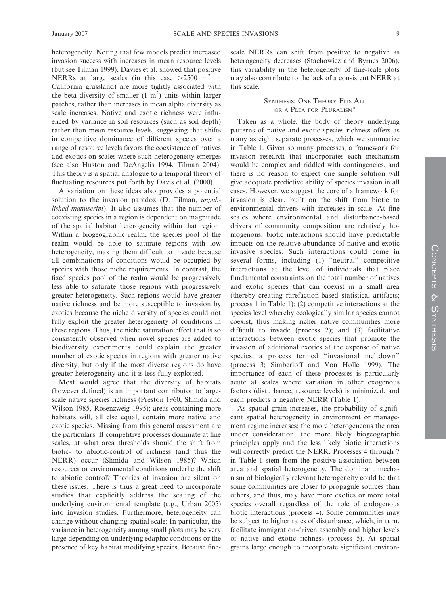heterogeneity. Noting that few models predict increased invasion success with increases in mean resource levels (but see Tilman 1999), Davies et al. showed that positive NERRs at large scales (in this case  $>2500$  m<sup>2</sup> in California grassland) are more tightly associated with the beta diversity of smaller  $(1 \text{ m}^2)$  units within larger patches, rather than increases in mean alpha diversity as scale increases. Native and exotic richness were influenced by variance in soil resources (such as soil depth) rather than mean resource levels, suggesting that shifts in competitive dominance of different species over a range of resource levels favors the coexistence of natives and exotics on scales where such heterogeneity emerges (see also Huston and DeAngelis 1994, Tilman 2004). This theory is a spatial analogue to a temporal theory of fluctuating resources put forth by Davis et al. (2000).

A variation on these ideas also provides a potential solution to the invasion paradox (D. Tilman, *unpub*lished manuscript). It also assumes that the number of coexisting species in a region is dependent on magnitude of the spatial habitat heterogeneity within that region. Within a biogeographic realm, the species pool of the realm would be able to saturate regions with low heterogeneity, making them difficult to invade because all combinations of conditions would be occupied by species with those niche requirements. In contrast, the fixed species pool of the realm would be progressively less able to saturate those regions with progressively greater heterogeneity. Such regions would have greater native richness and be more susceptible to invasion by exotics because the niche diversity of species could not fully exploit the greater heterogeneity of conditions in these regions. Thus, the niche saturation effect that is so consistently observed when novel species are added to biodiversity experiments could explain the greater number of exotic species in regions with greater native diversity, but only if the most diverse regions do have greater heterogeneity and it is less fully exploited.

Most would agree that the diversity of habitats (however defined) is an important contributor to largescale native species richness (Preston 1960, Shmida and Wilson 1985, Rosenzweig 1995); areas containing more habitats will, all else equal, contain more native and exotic species. Missing from this general assessment are the particulars: If competitive processes dominate at fine scales, at what area thresholds should the shift from biotic- to abiotic-control of richness (and thus the NERR) occur (Shmida and Wilson 1985)? Which resources or environmental conditions underlie the shift to abiotic control? Theories of invasion are silent on these issues. There is thus a great need to incorporate studies that explicitly address the scaling of the underlying environmental template (e.g., Urban 2005) into invasion studies. Furthermore, heterogeneity can change without changing spatial scale: In particular, the variance in heterogeneity among small plots may be very large depending on underlying edaphic conditions or the presence of key habitat modifying species. Because finescale NERRs can shift from positive to negative as heterogeneity decreases (Stachowicz and Byrnes 2006), this variability in the heterogeneity of fine-scale plots may also contribute to the lack of a consistent NERR at this scale.

#### SYNTHESIS: ONE THEORY FITS ALL OR A PLEA FOR PLURALISM?

Taken as a whole, the body of theory underlying patterns of native and exotic species richness offers as many as eight separate processes, which we summarize in Table 1. Given so many processes, a framework for invasion research that incorporates each mechanism would be complex and riddled with contingencies, and there is no reason to expect one simple solution will give adequate predictive ability of species invasion in all cases. However, we suggest the core of a framework for invasion is clear, built on the shift from biotic to environmental drivers with increases in scale. At fine scales where environmental and disturbance-based drivers of community composition are relatively homogenous, biotic interactions should have predictable impacts on the relative abundance of native and exotic invasive species. Such interactions could come in several forms, including (1) "neutral" competitive interactions at the level of individuals that place fundamental constraints on the total number of natives and exotic species that can coexist in a small area (thereby creating rarefaction-based statistical artifacts; process 1 in Table 1); (2) competitive interactions at the species level whereby ecologically similar species cannot coexist, thus making richer native communities more difficult to invade (process 2); and (3) facilitative interactions between exotic species that promote the invasion of additional exotics at the expense of native species, a process termed ''invasional meltdown'' (process 3; Simberloff and Von Holle 1999). The importance of each of these processes is particularly acute at scales where variation in other exogenous factors (disturbance, resource levels) is minimized, and each predicts a negative NERR (Table 1).

As spatial grain increases, the probability of significant spatial heterogeneity in environment or management regime increases; the more heterogeneous the area under consideration, the more likely biogeographic principles apply and the less likely biotic interactions will correctly predict the NERR. Processes 4 through 7 in Table 1 stem from the positive association between area and spatial heterogeneity. The dominant mechanism of biologically relevant heterogeneity could be that some communities are closer to propagule sources than others, and thus, may have more exotics or more total species overall regardless of the role of endogenous biotic interactions (process 4). Some communities may be subject to higher rates of disturbance, which, in turn, facilitate immigration-driven assembly and higher levels of native and exotic richness (process 5). At spatial grains large enough to incorporate significant environ-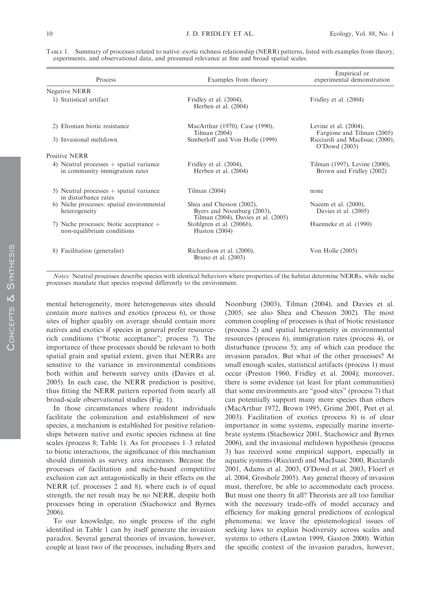| Process                                                                     | Examples from theory                                                                          | Empirical or<br>experimental demonstration                |
|-----------------------------------------------------------------------------|-----------------------------------------------------------------------------------------------|-----------------------------------------------------------|
| Negative NERR                                                               |                                                                                               |                                                           |
| 1) Statistical artifact                                                     | Fridley et al. $(2004)$ ,<br>Herben et al. $(2004)$                                           | Fridley et al. (2004)                                     |
| 2) Eltonian biotic resistance                                               | MacArthur (1970), Case (1990),<br>Tilman $(2004)$                                             | Levine et al. $(2004)$ ,<br>Fargione and Tilman (2005)    |
| 3) Invasional meltdown                                                      | Simberloff and Von Holle (1999)                                                               | Ricciardi and MacIssac (2000),<br>O'Dowd (2003)           |
| Positive NERR                                                               |                                                                                               |                                                           |
| 4) Neutral processes $+$ spatial variance<br>in community immigration rates | Fridley et al. (2004),<br>Herben et al. (2004)                                                | Tilman (1997), Levine (2000),<br>Brown and Fridley (2002) |
| 5) Neutral processes $+$ spatial variance<br>in disturbance rates           | Tilman $(2004)$                                                                               | none                                                      |
| 6) Niche processes: spatial environmental<br>heterogeneity                  | Shea and Chesson (2002),<br>Byers and Noonburg (2003),<br>Tilman (2004), Davies et al. (2005) | Naeem et al. (2000),<br>Davies et al. (2005)              |
| 7) Niche processes: biotic acceptance $+$<br>non-equilibrium conditions     | Stohlgren et al. (2006b),<br>Huston $(2004)$                                                  | Huenneke et al. (1990)                                    |
| 8) Facilitation (generalist)                                                | Richardson et al. (2000),<br>Bruno et al. (2003)                                              | Von Holle $(2005)$                                        |

TABLE 1. Summary of processes related to native–exotic richness relationship (NERR) patterns, listed with examples from theory, experiments, and observational data, and presumed relevance at fine and broad spatial scales.

Notes: Neutral processes describe species with identical behaviors where properties of the habitat determine NERRs, while niche processes mandate that species respond differently to the environment.

mental heterogeneity, more heterogeneous sites should contain more natives and exotics (process 6), or those sites of higher quality on average should contain more natives and exotics if species in general prefer resourcerich conditions (''biotic acceptance''; process 7). The importance of these processes should be relevant to both spatial grain and spatial extent, given that NERRs are sensitive to the variance in environmental conditions both within and between survey units (Davies et al. 2005). In each case, the NERR prediction is positive, thus fitting the NERR pattern reported from nearly all broad-scale observational studies (Fig. 1).

In those circumstances where resident individuals facilitate the colonization and establishment of new species, a mechanism is established for positive relationships between native and exotic species richness at fine scales (process 8; Table 1). As for processes 1–3 related to biotic interactions, the significance of this mechanism should diminish as survey area increases. Because the processes of facilitation and niche-based competitive exclusion can act antagonistically in their effects on the NERR (cf. processes 2 and 8), where each is of equal strength, the net result may be no NERR, despite both processes being in operation (Stachowicz and Byrnes 2006).

To our knowledge, no single process of the eight identified in Table 1 can by itself generate the invasion paradox. Several general theories of invasion, however, couple at least two of the processes, including Byers and

Noonburg (2003), Tilman (2004), and Davies et al. (2005; see also Shea and Chesson 2002). The most common coupling of processes is that of biotic resistance (process 2) and spatial heterogeneity in environmental resources (process 6), immigration rates (process 4), or disturbance (process 5); any of which can produce the invasion paradox. But what of the other processes? At small enough scales, statistical artifacts (process 1) must occur (Preston 1960, Fridley et al. 2004); moreover, there is some evidence (at least for plant communities) that some environments are ''good sites'' (process 7) that can potentially support many more species than others (MacArthur 1972, Brown 1995, Grime 2001, Peet et al. 2003). Facilitation of exotics (process 8) is of clear importance in some systems, especially marine invertebrate systems (Stachowicz 2001, Stachowicz and Byrnes 2006), and the invasional meltdown hypothesis (process 3) has received some empirical support, especially in aquatic systems (Ricciardi and MacIsaac 2000, Ricciardi 2001, Adams et al. 2003, O'Dowd et al. 2003, Floerl et al. 2004, Grosholz 2005). Any general theory of invasion must, therefore, be able to accommodate each process. But must one theory fit all? Theorists are all too familiar with the necessary trade-offs of model accuracy and efficiency for making general predictions of ecological phenomena; we leave the epistemological issues of seeking laws to explain biodiversity across scales and systems to others (Lawton 1999, Gaston 2000). Within the specific context of the invasion paradox, however,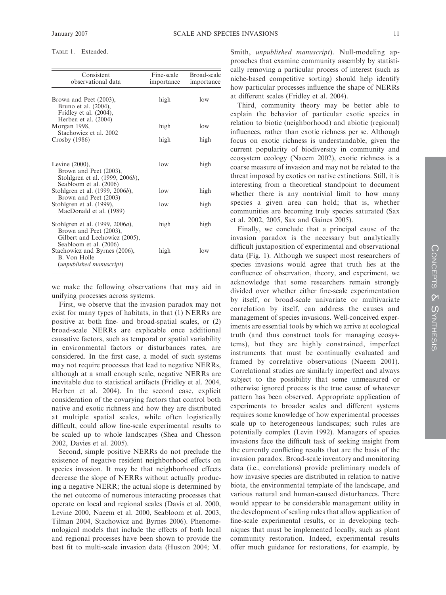TABLE 1. Extended.

| Consistent<br>observational data                                                                    | Fine-scale<br>importance | Broad-scale<br>importance |
|-----------------------------------------------------------------------------------------------------|--------------------------|---------------------------|
| Brown and Peet (2003),<br>Bruno et al. (2004),<br>Fridley et al. (2004),                            | high                     | low                       |
| Herben et al. (2004)<br>Morgan 1998,<br>Stachowicz et al. 2002                                      | high                     | low                       |
| Crosby(1986)                                                                                        | high                     | high                      |
| Levine $(2000)$ ,<br>Brown and Peet (2003),<br>Stohlgren et al. (1999, 2006b),                      | low                      | high                      |
| Seabloom et al. (2006)<br>Stohlgren et al. (1999, 2006b),<br>Brown and Peet (2003)                  | low                      | high                      |
| Stohlgren et al. (1999),<br>MacDonald et al. (1989)                                                 | low                      | high                      |
| Stohlgren et al. (1999, 2006a),<br>Brown and Peet (2003),<br>Gilbert and Lechowicz (2005),          | high                     | high                      |
| Seabloom et al. (2006)<br>Stachowicz and Byrnes (2006),<br>B. Von Holle<br>(unpublished manuscript) | high                     | 1 <sub>0</sub>            |

we make the following observations that may aid in unifying processes across systems.

First, we observe that the invasion paradox may not exist for many types of habitats, in that (1) NERRs are positive at both fine- and broad-spatial scales, or (2) broad-scale NERRs are explicable once additional causative factors, such as temporal or spatial variability in environmental factors or disturbances rates, are considered. In the first case, a model of such systems may not require processes that lead to negative NERRs, although at a small enough scale, negative NERRs are inevitable due to statistical artifacts (Fridley et al. 2004, Herben et al. 2004). In the second case, explicit consideration of the covarying factors that control both native and exotic richness and how they are distributed at multiple spatial scales, while often logistically difficult, could allow fine-scale experimental results to be scaled up to whole landscapes (Shea and Chesson 2002, Davies et al. 2005).

Second, simple positive NERRs do not preclude the existence of negative resident neighborhood effects on species invasion. It may be that neighborhood effects decrease the slope of NERRs without actually producing a negative NERR; the actual slope is determined by the net outcome of numerous interacting processes that operate on local and regional scales (Davis et al. 2000, Levine 2000, Naeem et al. 2000, Seabloom et al. 2003, Tilman 2004, Stachowicz and Byrnes 2006). Phenomenological models that include the effects of both local and regional processes have been shown to provide the best fit to multi-scale invasion data (Huston 2004; M.

Smith, unpublished manuscript). Null-modeling approaches that examine community assembly by statistically removing a particular process of interest (such as niche-based competitive sorting) should help identify how particular processes influence the shape of NERRs at different scales (Fridley et al. 2004).

Third, community theory may be better able to explain the behavior of particular exotic species in relation to biotic (neighborhood) and abiotic (regional) influences, rather than exotic richness per se. Although focus on exotic richness is understandable, given the current popularity of biodiversity in community and ecosystem ecology (Naeem 2002), exotic richness is a coarse measure of invasion and may not be related to the threat imposed by exotics on native extinctions. Still, it is interesting from a theoretical standpoint to document whether there is any nontrivial limit to how many species a given area can hold; that is, whether communities are becoming truly species saturated (Sax et al. 2002, 2005, Sax and Gaines 2005).

Finally, we conclude that a principal cause of the invasion paradox is the necessary but analytically difficult juxtaposition of experimental and observational data (Fig. 1). Although we suspect most researchers of species invasions would agree that truth lies at the confluence of observation, theory, and experiment, we acknowledge that some researchers remain strongly divided over whether either fine-scale experimentation by itself, or broad-scale univariate or multivariate correlation by itself, can address the causes and management of species invasions. Well-conceived experiments are essential tools by which we arrive at ecological truth (and thus construct tools for managing ecosystems), but they are highly constrained, imperfect instruments that must be continually evaluated and framed by correlative observations (Naeem 2001). Correlational studies are similarly imperfect and always subject to the possibility that some unmeasured or otherwise ignored process is the true cause of whatever pattern has been observed. Appropriate application of experiments to broader scales and different systems requires some knowledge of how experimental processes scale up to heterogeneous landscapes; such rules are potentially complex (Levin 1992). Managers of species invasions face the difficult task of seeking insight from the currently conflicting results that are the basis of the invasion paradox. Broad-scale inventory and monitoring data (i.e., correlations) provide preliminary models of how invasive species are distributed in relation to native biota, the environmental template of the landscape, and various natural and human-caused disturbances. There would appear to be considerable management utility in the development of scaling rules that allow application of fine-scale experimental results, or in developing techniques that must be implemented locally, such as plant community restoration. Indeed, experimental results offer much guidance for restorations, for example, by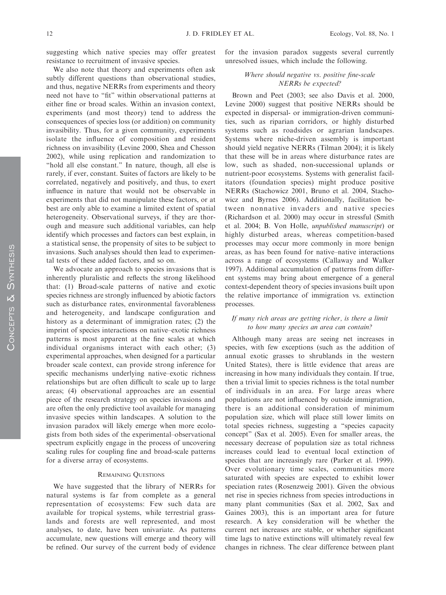suggesting which native species may offer greatest resistance to recruitment of invasive species.

We also note that theory and experiments often ask subtly different questions than observational studies, and thus, negative NERRs from experiments and theory need not have to ''fit'' within observational patterns at either fine or broad scales. Within an invasion context, experiments (and most theory) tend to address the consequences of species loss (or addition) on community invasibility. Thus, for a given community, experiments isolate the influence of composition and resident richness on invasibility (Levine 2000, Shea and Chesson 2002), while using replication and randomization to ''hold all else constant.'' In nature, though, all else is rarely, if ever, constant. Suites of factors are likely to be correlated, negatively and positively, and thus, to exert influence in nature that would not be observable in experiments that did not manipulate these factors, or at best are only able to examine a limited extent of spatial heterogeneity. Observational surveys, if they are thorough and measure such additional variables, can help identify which processes and factors can best explain, in a statistical sense, the propensity of sites to be subject to invasions. Such analyses should then lead to experimental tests of these added factors, and so on.

We advocate an approach to species invasions that is inherently pluralistic and reflects the strong likelihood that: (1) Broad-scale patterns of native and exotic species richness are strongly influenced by abiotic factors such as disturbance rates, environmental favorableness and heterogeneity, and landscape configuration and history as a determinant of immigration rates; (2) the imprint of species interactions on native–exotic richness patterns is most apparent at the fine scales at which individual organisms interact with each other; (3) experimental approaches, when designed for a particular broader scale context, can provide strong inference for specific mechanisms underlying native–exotic richness relationships but are often difficult to scale up to large areas; (4) observational approaches are an essential piece of the research strategy on species invasions and are often the only predictive tool available for managing invasive species within landscapes. A solution to the invasion paradox will likely emerge when more ecologists from both sides of the experimental–observational spectrum explicitly engage in the process of uncovering scaling rules for coupling fine and broad-scale patterns for a diverse array of ecosystems.

#### REMAINING QUESTIONS

We have suggested that the library of NERRs for natural systems is far from complete as a general representation of ecosystems: Few such data are available for tropical systems, while terrestrial grasslands and forests are well represented, and most analyses, to date, have been univariate. As patterns accumulate, new questions will emerge and theory will be refined. Our survey of the current body of evidence for the invasion paradox suggests several currently unresolved issues, which include the following.

# Where should negative vs. positive fine-scale NERRs be expected?

Brown and Peet (2003; see also Davis et al. 2000, Levine 2000) suggest that positive NERRs should be expected in dispersal- or immigration-driven communities, such as riparian corridors, or highly disturbed systems such as roadsides or agrarian landscapes. Systems where niche-driven assembly is important should yield negative NERRs (Tilman 2004); it is likely that these will be in areas where disturbance rates are low, such as shaded, non-successional uplands or nutrient-poor ecosystems. Systems with generalist facilitators (foundation species) might produce positive NERRs (Stachowicz 2001, Bruno et al. 2004, Stachowicz and Byrnes 2006). Additionally, facilitation between nonnative invaders and native species (Richardson et al. 2000) may occur in stressful (Smith et al. 2004; B. Von Holle, unpublished manuscript) or highly disturbed areas, whereas competition-based processes may occur more commonly in more benign areas, as has been found for native–native interactions across a range of ecosystems (Callaway and Walker 1997). Additional accumulation of patterns from different systems may bring about emergence of a general context-dependent theory of species invasions built upon the relative importance of immigration vs. extinction processes.

#### If many rich areas are getting richer, is there a limit to how many species an area can contain?

Although many areas are seeing net increases in species, with few exceptions (such as the addition of annual exotic grasses to shrublands in the western United States), there is little evidence that areas are increasing in how many individuals they contain. If true, then a trivial limit to species richness is the total number of individuals in an area. For large areas where populations are not influenced by outside immigration, there is an additional consideration of minimum population size, which will place still lower limits on total species richness, suggesting a ''species capacity concept'' (Sax et al. 2005). Even for smaller areas, the necessary decrease of population size as total richness increases could lead to eventual local extinction of species that are increasingly rare (Parker et al. 1999). Over evolutionary time scales, communities more saturated with species are expected to exhibit lower speciation rates (Rosenzweig 2001). Given the obvious net rise in species richness from species introductions in many plant communities (Sax et al. 2002, Sax and Gaines 2003), this is an important area for future research. A key consideration will be whether the current net increases are stable, or whether significant time lags to native extinctions will ultimately reveal few changes in richness. The clear difference between plant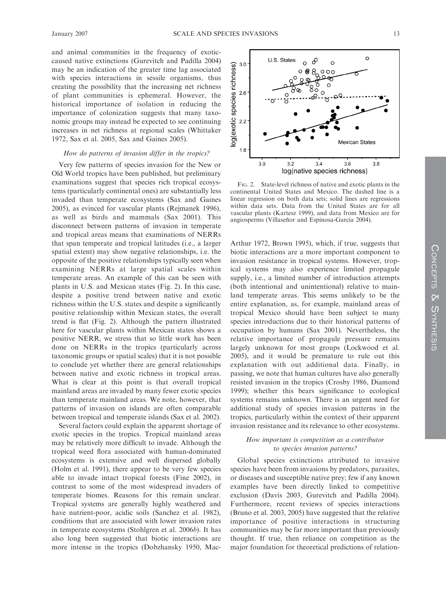and animal communities in the frequency of exoticcaused native extinctions (Gurevitch and Padilla 2004) may be an indication of the greater time lag associated with species interactions in sessile organisms, thus creating the possibility that the increasing net richness of plant communities is ephemeral. However, the historical importance of isolation in reducing the importance of colonization suggests that many taxonomic groups may instead be expected to see continuing increases in net richness at regional scales (Whittaker 1972, Sax et al. 2005, Sax and Gaines 2005).

#### How do patterns of invasion differ in the tropics?

Very few patterns of species invasion for the New or Old World tropics have been published, but preliminary examinations suggest that species rich tropical ecosystems (particularly continental ones) are substantially less invaded than temperate ecosystems (Sax and Gaines 2005), as evinced for vascular plants (Rejmanek 1996), as well as birds and mammals (Sax 2001). This disconnect between patterns of invasion in temperate and tropical areas means that examinations of NERRs that span temperate and tropical latitudes (i.e., a larger spatial extent) may show negative relationships, i.e. the opposite of the positive relationships typically seen when examining NERRs at large spatial scales within temperate areas. An example of this can be seen with plants in U.S. and Mexican states (Fig. 2). In this case, despite a positive trend between native and exotic richness within the U.S. states and despite a significantly positive relationship within Mexican states, the overall trend is flat (Fig. 2). Although the pattern illustrated here for vascular plants within Mexican states shows a positive NERR, we stress that so little work has been done on NERRs in the tropics (particularly across taxonomic groups or spatial scales) that it is not possible to conclude yet whether there are general relationships between native and exotic richness in tropical areas. What is clear at this point is that overall tropical mainland areas are invaded by many fewer exotic species than temperate mainland areas. We note, however, that patterns of invasion on islands are often comparable between tropical and temperate islands (Sax et al. 2002).

Several factors could explain the apparent shortage of exotic species in the tropics. Tropical mainland areas may be relatively more difficult to invade. Although the tropical weed flora associated with human-dominated ecosystems is extensive and well dispersed globally (Holm et al. 1991), there appear to be very few species able to invade intact tropical forests (Fine 2002), in contrast to some of the most widespread invaders of temperate biomes. Reasons for this remain unclear. Tropical systems are generally highly weathered and have nutrient-poor, acidic soils (Sanchez et al. 1982), conditions that are associated with lower invasion rates in temperate ecosystems (Stohlgren et al. 2006b). It has also long been suggested that biotic interactions are more intense in the tropics (Dobzhansky 1950, Mac-



FIG. 2. State-level richness of native and exotic plants in the continental United States and Mexico. The dashed line is a linear regression on both data sets; solid lines are regressions within data sets. Data from the United States are for all vascular plants (Kartesz 1999), and data from Mexico are for angiosperms (Villaseñor and Espinosa-Garcia 2004).

Arthur 1972, Brown 1995), which, if true, suggests that biotic interactions are a more important component to invasion resistance in tropical systems. However, tropical systems may also experience limited propagule supply, i.e., a limited number of introduction attempts (both intentional and unintentional) relative to mainland temperate areas. This seems unlikely to be the entire explanation, as, for example, mainland areas of tropical Mexico should have been subject to many species introductions due to their historical patterns of occupation by humans (Sax 2001). Nevertheless, the relative importance of propagule pressure remains largely unknown for most groups (Lockwood et al. 2005), and it would be premature to rule out this explanation with out additional data. Finally, in passing, we note that human cultures have also generally resisted invasion in the tropics (Crosby 1986, Diamond 1999); whether this bears significance to ecological systems remains unknown. There is an urgent need for additional study of species invasion patterns in the tropics, particularly within the context of their apparent invasion resistance and its relevance to other ecosystems.

# How important is competition as a contributor to species invasion patterns?

Global species extinctions attributed to invasive species have been from invasions by predators, parasites, or diseases and susceptible native prey; few if any known examples have been directly linked to competitive exclusion (Davis 2003, Gurevitch and Padilla 2004). Furthermore, recent reviews of species interactions (Bruno et al. 2003, 2005) have suggested that the relative importance of positive interactions in structuring communities may be far more important than previously thought. If true, then reliance on competition as the major foundation for theoretical predictions of relation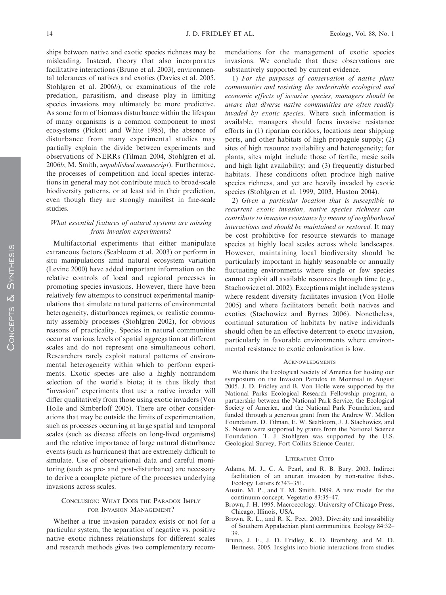ships between native and exotic species richness may be misleading. Instead, theory that also incorporates facilitative interactions (Bruno et al. 2003), environmental tolerances of natives and exotics (Davies et al. 2005, Stohlgren et al. 2006b), or examinations of the role predation, parasitism, and disease play in limiting species invasions may ultimately be more predictive. As some form of biomass disturbance within the lifespan of many organisms is a common component to most ecosystems (Pickett and White 1985), the absence of disturbance from many experimental studies may partially explain the divide between experiments and observations of NERRs (Tilman 2004, Stohlgren et al. 2006b; M. Smith, unpublished manuscript). Furthermore, the processes of competition and local species interactions in general may not contribute much to broad-scale biodiversity patterns, or at least aid in their prediction, even though they are strongly manifest in fine-scale studies.

# What essential features of natural systems are missing from invasion experiments?

Multifactorial experiments that either manipulate extraneous factors (Seabloom et al. 2003) or perform in situ manipulations amid natural ecosystem variation (Levine 2000) have added important information on the relative controls of local and regional processes in promoting species invasions. However, there have been relatively few attempts to construct experimental manipulations that simulate natural patterns of environmental heterogeneity, disturbances regimes, or realistic community assembly processes (Stohlgren 2002), for obvious reasons of practicality. Species in natural communities occur at various levels of spatial aggregation at different scales and do not represent one simultaneous cohort. Researchers rarely exploit natural patterns of environmental heterogeneity within which to perform experiments. Exotic species are also a highly nonrandom selection of the world's biota; it is thus likely that "invasion" experiments that use a native invader will differ qualitatively from those using exotic invaders (Von Holle and Simberloff 2005). There are other considerations that may be outside the limits of experimentation, such as processes occurring at large spatial and temporal scales (such as disease effects on long-lived organisms) and the relative importance of large natural disturbance events (such as hurricanes) that are extremely difficult to simulate. Use of observational data and careful monitoring (such as pre- and post-disturbance) are necessary to derive a complete picture of the processes underlying invasions across scales.

# CONCLUSION: WHAT DOES THE PARADOX IMPLY FOR INVASION MANAGEMENT?

Whether a true invasion paradox exists or not for a particular system, the separation of negative vs. positive native–exotic richness relationships for different scales and research methods gives two complementary recommendations for the management of exotic species invasions. We conclude that these observations are substantively supported by current evidence.

1) For the purposes of conservation of native plant communities and resisting the undesirable ecological and economic effects of invasive species, managers should be aware that diverse native communities are often readily invaded by exotic species. Where such information is available, managers should focus invasive resistance efforts in (1) riparian corridors, locations near shipping ports, and other habitats of high propagule supply; (2) sites of high resource availability and heterogeneity; for plants, sites might include those of fertile, mesic soils and high light availability; and (3) frequently disturbed habitats. These conditions often produce high native species richness, and yet are heavily invaded by exotic species (Stohlgren et al. 1999, 2003, Huston 2004).

2) Given a particular location that is susceptible to recurrent exotic invasion, native species richness can contribute to invasion resistance by means of neighborhood interactions and should be maintained or restored. It may be cost prohibitive for resource stewards to manage species at highly local scales across whole landscapes. However, maintaining local biodiversity should be particularly important in highly seasonable or annually fluctuating environments where single or few species cannot exploit all available resources through time (e.g., Stachowicz et al. 2002). Exceptions might include systems where resident diversity facilitates invasion (Von Holle 2005) and where facilitators benefit both natives and exotics (Stachowicz and Byrnes 2006). Nonetheless, continual saturation of habitats by native individuals should often be an effective deterrent to exotic invasion, particularly in favorable environments where environmental resistance to exotic colonization is low.

#### ACKNOWLEDGMENTS

We thank the Ecological Society of America for hosting our symposium on the Invasion Paradox in Montreal in August 2005. J. D. Fridley and B. Von Holle were supported by the National Parks Ecological Research Fellowship program, a partnership between the National Park Service, the Ecological Society of America, and the National Park Foundation, and funded through a generous grant from the Andrew W. Mellon Foundation. D. Tilman, E. W. Seabloom, J. J. Stachowicz, and S. Naeem were supported by grants from the National Science Foundation. T. J. Stohlgren was supported by the U.S. Geological Survey, Fort Collins Science Center.

#### LITERATURE CITED

- Adams, M. J., C. A. Pearl, and R. B. Bury. 2003. Indirect facilitation of an anuran invasion by non-native fishes. Ecology Letters 6:343–351.
- Austin, M. P., and T. M. Smith. 1989. A new model for the continuum concept. Vegetatio 83:35–47.
- Brown, J. H. 1995. Macroecology. University of Chicago Press, Chicago, Illinois, USA.
- Brown, R. L., and R. K. Peet. 2003. Diversity and invasibility of Southern Appalachian plant communities. Ecology 84:32– 39.
- Bruno, J. F., J. D. Fridley, K. D. Bromberg, and M. D. Bertness. 2005. Insights into biotic interactions from studies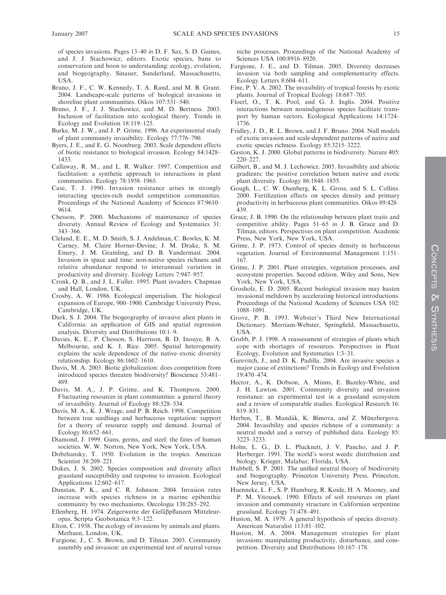of species invasions. Pages 13–40 in D. F. Sax, S. D. Gaines, and J. J. Stachowicz, editors. Exotic species, bane to conservation and boon to understanding: ecology, evolution, and biogeography. Sinauer, Sunderland, Massachusetts, USA.

- Bruno, J. F., C. W. Kennedy, T. A. Rand, and M. B. Grant. 2004. Landscape-scale patterns of biological invasions in shoreline plant communities. Oikos 107:531–540.
- Bruno, J. F., J. J. Stachowicz, and M. D. Bertness. 2003. Inclusion of facilitation into ecological theory. Trends in Ecology and Evolution 18:119–125.
- Burke, M. J. W., and J. P. Grime. 1996. An experimental study of plant community invasibility. Ecology 77:776–790.
- Byers, J. E., and E. G. Noonburg. 2003. Scale dependent effects of biotic resistance to biological invasion. Ecology 84:1428– 1433.
- Callaway, R. M., and L. R. Walker. 1997. Competition and facilitation: a synthetic approach to interactions in plant communities. Ecology 78:1958–1965.
- Case, T. J. 1990. Invasion resistance arises in strongly interacting species-rich model competition communities. Proceedings of the National Academy of Sciences 87:9610– 9614.
- Chesson, P. 2000. Mechanisms of maintenance of species diversity. Annual Review of Ecology and Systematics 31: 343–366.
- Cleland, E. E., M. D. Smith, S. J. Andelman, C. Bowles, K. M. Carney, M. Claire Horner-Devine, J. M. Drake, S. M. Emery, J. M. Gramling, and D. B. Vandermast. 2004. Invasion in space and time: non-native species richness and relative abundance respond to interannual variation in productivity and diversity. Ecology Letters 7:947–957.
- Cronk, Q. B., and J. L. Fuller. 1995. Plant invaders. Chapman and Hall, London, UK.
- Crosby, A. W. 1986. Ecological imperialism. The biological expansion of Europe, 900–1900. Cambridge University Press, Cambridge, UK.
- Dark, S. J. 2004. The biogeography of invasive alien plants in California: an application of GIS and spatial regression analysis. Diversity and Distributions 10:1–9.
- Davies, K. E., P. Chesson, S. Harrison, B. D. Inouye, B. A. Melbourne, and K. J. Rice. 2005. Spatial heterogeneity explains the scale dependence of the native–exotic diversity relationship. Ecology 86:1602–1610.
- Davis, M. A. 2003. Biotic globalization: does competition from introduced species threaten biodiversity? Bioscience 53:481– 489.
- Davis, M. A., J. P. Grime, and K. Thompson. 2000. Fluctuating resources in plant communities: a general theory of invasibility. Journal of Ecology 88:528–534.
- Davis, M. A., K. J. Wrage, and P. B. Reich. 1998. Competition between tree seedlings and herbaceous vegetation: support for a theory of resource supply and demand. Journal of Ecology 86:652–661.
- Diamond, J. 1999. Guns, germs, and steel: the fates of human societies. W. W. Norton, New York, New York, USA.
- Dobzhansky, T. 1950. Evolution in the tropics. American Scientist 38:209–221.
- Dukes, J. S. 2002. Species composition and diversity affect grassland susceptibility and response to invasion. Ecological Applications 12:602–617.
- Dunstan, P. K., and C. R. Johnson. 2004. Invasion rates increase with species richness in a marine epibenthic community by two mechanisms. Oecologia 138:285–292.
- Ellenberg, H. 1974. Zeigerwerte der Gefäßpflanzen Mitteleuropas. Scripta Geobotanica 9:3–122.
- Elton, C. 1958. The ecology of invasions by animals and plants. Methuen, London, UK.
- Fargione, J., C. S. Brown, and D. Tilman. 2003. Community assembly and invasion: an experimental test of neutral versus

niche processes. Proceedings of the National Academy of Sciences USA 100:8916–8920.

- Fargione, J. E., and D. Tilman. 2005. Diversity decreases invasion via both sampling and complementarity effects. Ecology Letters 8:604–611.
- Fine, P. V. A. 2002. The invasibility of tropical forests by exotic plants. Journal of Tropical Ecology 18:687–705.
- Floerl, O., T. K. Pool, and G. J. Inglis. 2004. Positive interactions between nonindigenous species facilitate transport by human vectors. Ecological Applications 14:1724– 1736.
- Fridley, J. D., R. L. Brown, and J. F. Bruno. 2004. Null models of exotic invasion and scale-dependent patterns of native and exotic species richness. Ecology 85:3215–3222.
- Gaston, K. J. 2000. Global patterns in biodiversity. Nature 405: 220–227.
- Gilbert, B., and M. J. Lechowicz. 2005. Invasibility and abiotic gradients: the positive correlation beteen native and exotic plant diversity. Ecology 86:1848–1855.
- Gough, L., C. W. Osenberg, K. L. Gross, and S. L. Collins. 2000. Fertilization effects on species density and primary productivity in herbaceous plant communities. Oikos 89:428– 439.
- Grace, J. B. 1990. On the relationship between plant traits and competitive ability. Pages 51–65 in J. B. Grace and D. Tilman, editors. Perspectives on plant competition. Academic Press, New York, New York, USA.
- Grime, J. P. 1973. Control of species density in herbaceous vegetation. Journal of Environmental Management 1:151– 167.
- Grime, J. P. 2001. Plant strategies, vegetation processes, and ecosystem properties. Second edition. Wiley and Sons, New York, New York, USA.
- Grosholz, E. D. 2005. Recent biological invasion may hasten invasional meltdown by accelerating historical introductions. Proceedings of the National Academy of Sciences USA 102: 1088–1091.
- Grove, P. B. 1993. Webster's Third New International Dictionary. Merriam-Webster, Springfield, Massachusetts, USA.
- Grubb, P. J. 1998. A reassessment of strategies of plants which cope with shortages of resources. Perspectives in Plant Ecology, Evolution and Systematics 1:3–31.
- Gurevitch, J., and D. K. Padilla. 2004. Are invasive species a major cause of extinctions? Trends in Ecology and Evolution 19:470–474.
- Hector, A., K. Dobson, A. Minns, E. Bazeley-White, and J. H. Lawton. 2001. Community diversity and invasion resistance: an experimental test in a grassland ecosystem and a review of comparable studies. Ecological Research 16: 819–831.
- Herben, T., B. Mandák, K. Bímova, and Z. Münzbergova. 2004. Invasibility and species richness of a community: a neutral model and a survey of published data. Ecology 85: 3223–3233.
- Holm, L. G., D. L. Plucknett, J. V. Pancho, and J. P. Herberger. 1991. The world's worst weeds: distribution and biology. Krieger, Malabar, Florida, USA.
- Hubbell, S. P. 2001. The unified neutral theory of biodiversity and biogeography. Princeton University Press, Princeton, New Jersey, USA.
- Huenneke, L. F., S. P. Hamburg, R. Koide, H. A. Mooney, and P. M. Vitousek. 1990. Effects of soil resources on plant invasion and community structure in Californian serpentine grassland. Ecology 71:478–491.
- Huston, M. A. 1979. A general hypothesis of species diversity. American Naturalist 113:81–102.
- Huston, M. A. 2004. Management strategies for plant invasions: manipulating productivity, disturbance, and competition. Diversity and Distributions 10:167–178.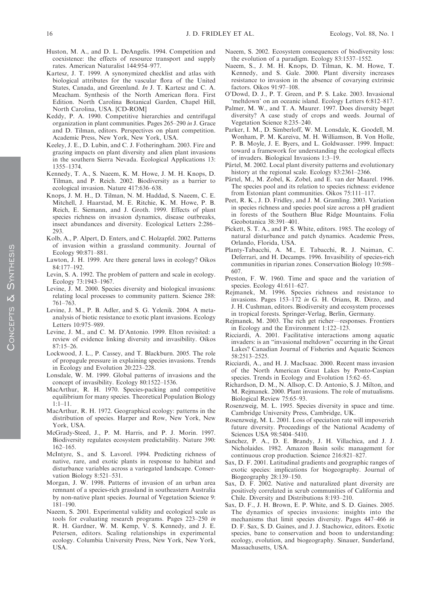- Huston, M. A., and D. L. DeAngelis. 1994. Competition and coexistence: the effects of resource transport and supply rates. American Naturalist 144:954–977.
- Kartesz, J. T. 1999. A synonymized checklist and atlas with biological attributes for the vascular flora of the United States, Canada, and Greenland. In J. T. Kartesz and C. A. Meacham. Synthesis of the North American flora. First Edition. North Carolina Botanical Garden, Chapel Hill, North Carolina, USA. [CD-ROM]
- Keddy, P. A. 1990. Competitive hierarchies and centrifugal organization in plant communities. Pages 265–290 in J. Grace and D. Tilman, editors. Perspectives on plant competition. Academic Press, New York, New York, USA.
- Keeley, J. E., D. Lubin, and C. J. Fotheringham. 2003. Fire and grazing impacts on plant diversity and alien plant invasions in the southern Sierra Nevada. Ecological Applications 13: 1355–1374.
- Kennedy, T. A., S. Naeem, K. M. Howe, J. M. H. Knops, D. Tilman, and P. Reich. 2002. Biodiversity as a barrier to ecological invasion. Nature 417:636–638.
- Knops, J. M. H., D. Tilman, N. M. Haddad, S. Naeem, C. E. Mitchell, J. Haarstad, M. E. Ritchie, K. M. Howe, P. B. Reich, E. Siemann, and J. Groth. 1999. Effects of plant species richness on invasion dynamics, disease outbreaks, insect abundances and diversity. Ecological Letters 2:286– 293.
- Kolb, A., P. Alpert, D. Enters, and C. Holzapfel. 2002. Patterns of invasion within a grassland community. Journal of Ecology 90:871–881.
- Lawton, J. H. 1999. Are there general laws in ecology? Oikos 84:177–192.
- Levin, S. A. 1992. The problem of pattern and scale in ecology. Ecology 73:1943–1967.
- Levine, J. M. 2000. Species diversity and biological invasions: relating local processes to community pattern. Science 288: 761–763.
- Levine, J. M., P. B. Adler, and S. G. Yelenik. 2004. A metaanalysis of biotic resistance to exotic plant invasions. Ecology Letters 10:975–989.
- Levine, J. M., and C. M. D'Antonio. 1999. Elton revisited: a review of evidence linking diversity and invasibility. Oikos 87:15–26.
- Lockwood, J. L., P. Cassey, and T. Blackburn. 2005. The role of propagule pressure in explaining species invasions. Trends in Ecology and Evolution 20:223–228.
- Lonsdale, W. M. 1999. Global patterns of invasions and the concept of invasibility. Ecology 80:1522–1536.
- MacArthur, R. H. 1970. Species-packing and competitive equilibrium for many species. Theoretical Population Biology 1:1–11.
- MacArthur, R. H. 1972. Geographical ecology: patterns in the distribution of species. Harper and Row, New York, New York, USA.
- McGrady-Steed, J., P. M. Harris, and P. J. Morin. 1997. Biodiversity regulates ecosystem predictability. Nature 390: 162–165.
- McIntyre, S., and S. Lavorel. 1994. Predicting richness of native, rare, and exotic plants in response to habitat and disturbance variables across a variegated landscape. Conservation Biology 8:521–531.
- Morgan, J. W. 1998. Patterns of invasion of an urban area remnant of a species-rich grassland in southeastern Australia by non-native plant species. Journal of Vegetation Science 9: 181–190.
- Naeem, S. 2001. Experimental validity and ecological scale as tools for evaluating research programs. Pages 223–250 in R. H. Gardner, W. M. Kemp, V. S. Kennedy, and J. E. Petersen, editors. Scaling relationships in experimental ecology. Columbia University Press, New York, New York, USA.
- Naeem, S. 2002. Ecosystem consequences of biodiversity loss: the evolution of a paradigm. Ecology 83:1537–1552.
- Naeem, S., J. M. H. Knops, D. Tilman, K. M. Howe, T. Kennedy, and S. Gale. 2000. Plant diversity increases resistance to invasion in the absence of covarying extrinsic factors. Oikos 91:97–108.
- O'Dowd, D. J., P. T. Green, and P. S. Lake. 2003. Invasional 'meltdown' on an oceanic island. Ecology Letters 6:812–817.
- Palmer, M. W., and T. A. Maurer. 1997. Does diversity beget diversity? A case study of crops and weeds. Journal of Vegetation Science 8:235–240.
- Parker, I. M., D. Simberloff, W. M. Lonsdale, K. Goodell, M. Wonham, P. M. Kareiva, M. H. Williamson, B. Von Holle, P. B. Moyle, J. E. Byers, and L. Goldwasser. 1999. Impact: toward a framework for understanding the ecological effects of invaders. Biological Invasions 1:3–19.
- Pärtel, M. 2002. Local plant diversity patterns and evolutionary history at the regional scale. Ecology 83:2361–2366.
- Pärtel, M., M. Zobel, K. Zobel, and E. van der Maarel. 1996. The species pool and its relation to species richness: evidence from Estonian plant communities. Oikos 75:111–117.
- Peet, R. K., J. D. Fridley, and J. M. Gramling. 2003. Variation in species richness and species pool size across a pH gradient in forests of the Southern Blue Ridge Mountains. Folia Geobotanica 38:391–401.
- Pickett, S. T. A., and P. S. White, editors. 1985. The ecology of natural disturbance and patch dynamics. Academic Press, Orlando, Florida, USA.
- Planty-Tabacchi, A. M., E. Tabacchi, R. J. Naiman, C. Deferrari, and H. Decamps. 1996. Invasibility of species-rich communities in riparian zones. Conservation Biology 10:598– 607.
- Preston, F. W. 1960. Time and space and the variation of species. Ecology 41:611–627.
- Rejmanek, M. 1996. Species richness and resistance to invasions. Pages 153–172 in G. H. Orians, R. Dirzo, and J. H. Cushman, editors. Biodiversity and ecosystem processes in tropical forests. Springer-Verlag, Berlin, Germany.
- Rejmanek, M. 2003. The rich get richer—responses. Frontiers in Ecology and the Environment 1:122–123.
- Ricciardi, A. 2001. Facilitative interactions among aquatic invaders: is an ''invasional meltdown'' occurring in the Great Lakes? Canadian Journal of Fisheries and Aquatic Sciences 58:2513–2525.
- Ricciardi, A., and H. J. MacIsaac. 2000. Recent mass invasion of the North American Great Lakes by Ponto-Caspian species. Trends in Ecology and Evolution 15:62–65.
- Richardson, D. M., N. Allsop, C. D. Antonio, S. J. Milton, and M. Rejmanek. 2000. Plant invasions. The role of mutualisms. Biological Review 75:65–93.
- Rosenzweig, M. L. 1995. Species diversity in space and time. Cambridge University Press, Cambridge, UK.
- Rosenzweig, M. L. 2001. Loss of speciation rate will impoverish future diversity. Proceedings of the National Academy of Sciences USA 98:5404–5410.
- Sanchez, P. A., D. E. Brandy, J. H. Villachica, and J. J. Nicholaides. 1982. Amazon Basin soils: management for continuous crop production. Science 216:821–827.
- Sax, D. F. 2001. Latitudinal gradients and geographic ranges of exotic species: implications for biogeography. Journal of Biogeography 28:139–150.
- Sax, D. F. 2002. Native and naturalized plant diversity are positively correlated in scrub communities of California and Chile. Diversity and Distributions 8:193–210.
- Sax, D. F., J. H. Brown, E. P. White, and S. D. Gaines. 2005. The dynamics of species invasions: insights into the mechanisms that limit species diversity. Pages 447–466 in D. F. Sax, S. D. Gaines, and J. J. Stachowicz, editors. Exotic species, bane to conservation and boon to understanding: ecology, evolution, and biogeography. Sinauer, Sunderland, Massachusetts, USA.